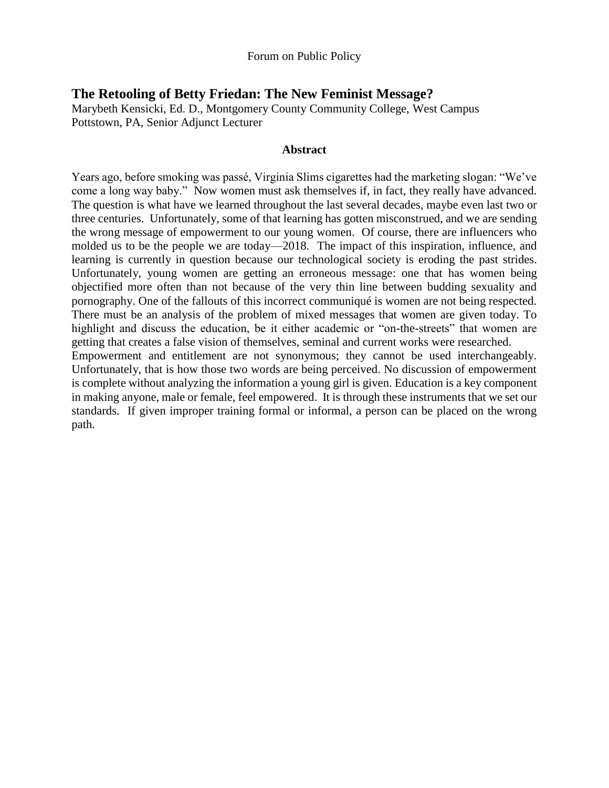# **The Retooling of Betty Friedan: The New Feminist Message?**

path.

Marybeth Kensicki, Ed. D., Montgomery County Community College, West Campus Pottstown, PA, Senior Adjunct Lecturer

#### **Abstract**

Years ago, before smoking was passé, Virginia Slims cigarettes had the marketing slogan: "We've come a long way baby." Now women must ask themselves if, in fact, they really have advanced. The question is what have we learned throughout the last several decades, maybe even last two or three centuries. Unfortunately, some of that learning has gotten misconstrued, and we are sending the wrong message of empowerment to our young women. Of course, there are influencers who molded us to be the people we are today—2018. The impact of this inspiration, influence, and learning is currently in question because our technological society is eroding the past strides. Unfortunately, young women are getting an erroneous message: one that has women being objectified more often than not because of the very thin line between budding sexuality and pornography. One of the fallouts of this incorrect communiqué is women are not being respected. There must be an analysis of the problem of mixed messages that women are given today. To highlight and discuss the education, be it either academic or "on-the-streets" that women are getting that creates a false vision of themselves, seminal and current works were researched. Empowerment and entitlement are not synonymous; they cannot be used interchangeably. Unfortunately, that is how those two words are being perceived. No discussion of empowerment is complete without analyzing the information a young girl is given. Education is a key component in making anyone, male or female, feel empowered. It is through these instruments that we set our standards. If given improper training formal or informal, a person can be placed on the wrong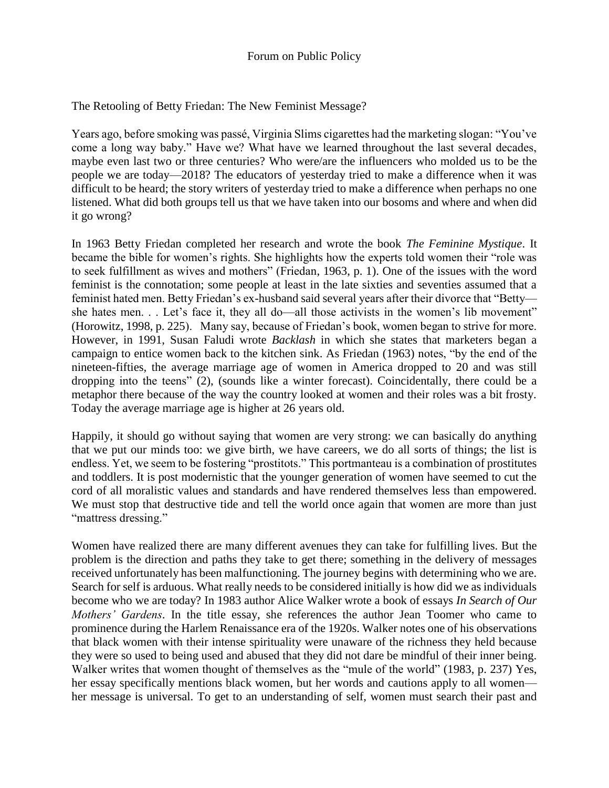The Retooling of Betty Friedan: The New Feminist Message?

Years ago, before smoking was passé, Virginia Slims cigarettes had the marketing slogan: "You've come a long way baby." Have we? What have we learned throughout the last several decades, maybe even last two or three centuries? Who were/are the influencers who molded us to be the people we are today—2018? The educators of yesterday tried to make a difference when it was difficult to be heard; the story writers of yesterday tried to make a difference when perhaps no one listened. What did both groups tell us that we have taken into our bosoms and where and when did it go wrong?

In 1963 Betty Friedan completed her research and wrote the book *The Feminine Mystique*. It became the bible for women's rights. She highlights how the experts told women their "role was to seek fulfillment as wives and mothers" (Friedan, 1963, p. 1). One of the issues with the word feminist is the connotation; some people at least in the late sixties and seventies assumed that a feminist hated men. Betty Friedan's ex-husband said several years after their divorce that "Betty she hates men. . . Let's face it, they all do—all those activists in the women's lib movement" (Horowitz, 1998, p. 225). Many say, because of Friedan's book, women began to strive for more. However, in 1991, Susan Faludi wrote *Backlash* in which she states that marketers began a campaign to entice women back to the kitchen sink. As Friedan (1963) notes, "by the end of the nineteen-fifties, the average marriage age of women in America dropped to 20 and was still dropping into the teens" (2), (sounds like a winter forecast). Coincidentally, there could be a metaphor there because of the way the country looked at women and their roles was a bit frosty. Today the average marriage age is higher at 26 years old.

Happily, it should go without saying that women are very strong: we can basically do anything that we put our minds too: we give birth, we have careers, we do all sorts of things; the list is endless. Yet, we seem to be fostering "prostitots." This portmanteau is a combination of prostitutes and toddlers. It is post modernistic that the younger generation of women have seemed to cut the cord of all moralistic values and standards and have rendered themselves less than empowered. We must stop that destructive tide and tell the world once again that women are more than just "mattress dressing."

Women have realized there are many different avenues they can take for fulfilling lives. But the problem is the direction and paths they take to get there; something in the delivery of messages received unfortunately has been malfunctioning. The journey begins with determining who we are. Search for self is arduous. What really needs to be considered initially is how did we as individuals become who we are today? In 1983 author Alice Walker wrote a book of essays *In Search of Our Mothers' Gardens*. In the title essay, she references the author Jean Toomer who came to prominence during the Harlem Renaissance era of the 1920s. Walker notes one of his observations that black women with their intense spirituality were unaware of the richness they held because they were so used to being used and abused that they did not dare be mindful of their inner being. Walker writes that women thought of themselves as the "mule of the world" (1983, p. 237) Yes, her essay specifically mentions black women, but her words and cautions apply to all women her message is universal. To get to an understanding of self, women must search their past and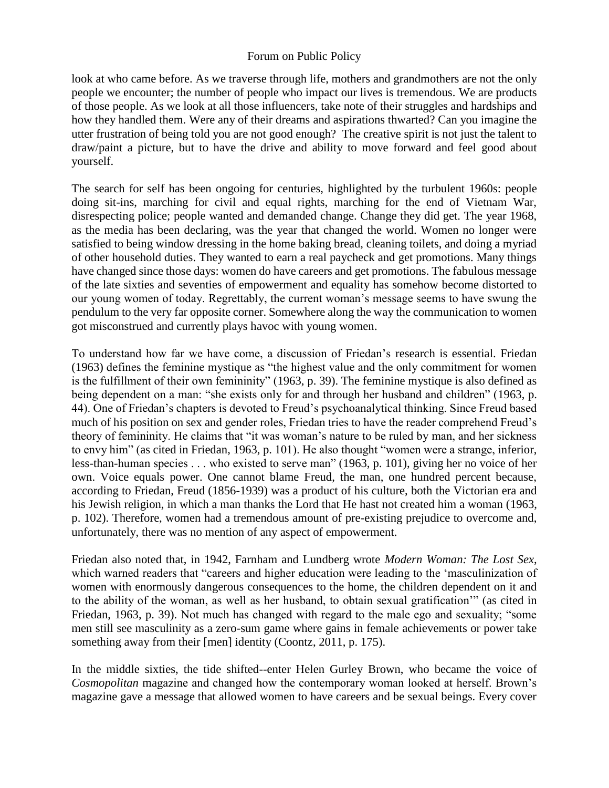look at who came before. As we traverse through life, mothers and grandmothers are not the only people we encounter; the number of people who impact our lives is tremendous. We are products of those people. As we look at all those influencers, take note of their struggles and hardships and how they handled them. Were any of their dreams and aspirations thwarted? Can you imagine the utter frustration of being told you are not good enough? The creative spirit is not just the talent to draw/paint a picture, but to have the drive and ability to move forward and feel good about yourself.

The search for self has been ongoing for centuries, highlighted by the turbulent 1960s: people doing sit-ins, marching for civil and equal rights, marching for the end of Vietnam War, disrespecting police; people wanted and demanded change. Change they did get. The year 1968, as the media has been declaring, was the year that changed the world. Women no longer were satisfied to being window dressing in the home baking bread, cleaning toilets, and doing a myriad of other household duties. They wanted to earn a real paycheck and get promotions. Many things have changed since those days: women do have careers and get promotions. The fabulous message of the late sixties and seventies of empowerment and equality has somehow become distorted to our young women of today. Regrettably, the current woman's message seems to have swung the pendulum to the very far opposite corner. Somewhere along the way the communication to women got misconstrued and currently plays havoc with young women.

To understand how far we have come, a discussion of Friedan's research is essential. Friedan (1963) defines the feminine mystique as "the highest value and the only commitment for women is the fulfillment of their own femininity" (1963, p. 39). The feminine mystique is also defined as being dependent on a man: "she exists only for and through her husband and children" (1963, p. 44). One of Friedan's chapters is devoted to Freud's psychoanalytical thinking. Since Freud based much of his position on sex and gender roles, Friedan tries to have the reader comprehend Freud's theory of femininity. He claims that "it was woman's nature to be ruled by man, and her sickness to envy him" (as cited in Friedan, 1963, p. 101). He also thought "women were a strange, inferior, less-than-human species . . . who existed to serve man" (1963, p. 101), giving her no voice of her own. Voice equals power. One cannot blame Freud, the man, one hundred percent because, according to Friedan, Freud (1856-1939) was a product of his culture, both the Victorian era and his Jewish religion, in which a man thanks the Lord that He hast not created him a woman (1963, p. 102). Therefore, women had a tremendous amount of pre-existing prejudice to overcome and, unfortunately, there was no mention of any aspect of empowerment.

Friedan also noted that, in 1942, Farnham and Lundberg wrote *Modern Woman: The Lost Sex*, which warned readers that "careers and higher education were leading to the 'masculinization of women with enormously dangerous consequences to the home, the children dependent on it and to the ability of the woman, as well as her husband, to obtain sexual gratification'" (as cited in Friedan, 1963, p. 39). Not much has changed with regard to the male ego and sexuality; "some men still see masculinity as a zero-sum game where gains in female achievements or power take something away from their [men] identity (Coontz, 2011, p. 175).

In the middle sixties, the tide shifted--enter Helen Gurley Brown, who became the voice of *Cosmopolitan* magazine and changed how the contemporary woman looked at herself. Brown's magazine gave a message that allowed women to have careers and be sexual beings. Every cover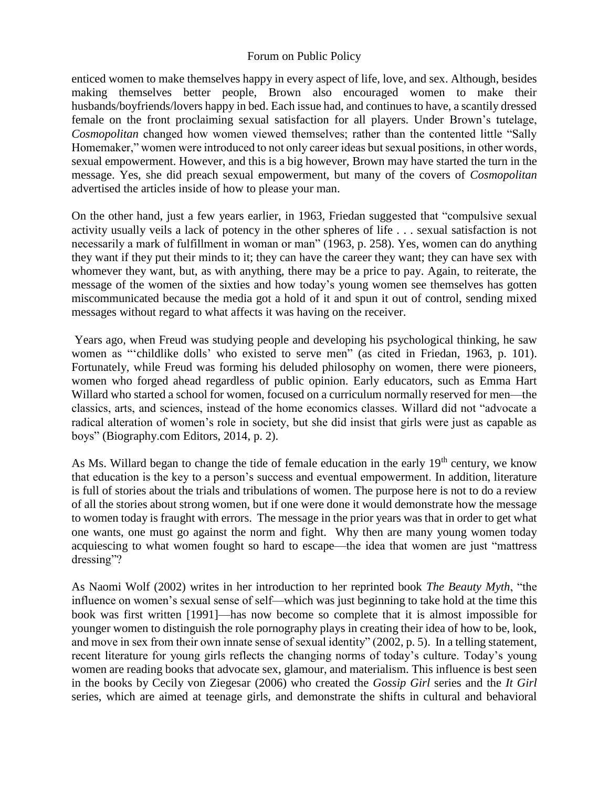enticed women to make themselves happy in every aspect of life, love, and sex. Although, besides making themselves better people, Brown also encouraged women to make their husbands/boyfriends/lovers happy in bed. Each issue had, and continues to have, a scantily dressed female on the front proclaiming sexual satisfaction for all players. Under Brown's tutelage, *Cosmopolitan* changed how women viewed themselves; rather than the contented little "Sally Homemaker," women were introduced to not only career ideas but sexual positions, in other words, sexual empowerment. However, and this is a big however, Brown may have started the turn in the message. Yes, she did preach sexual empowerment, but many of the covers of *Cosmopolitan* advertised the articles inside of how to please your man.

On the other hand, just a few years earlier, in 1963, Friedan suggested that "compulsive sexual activity usually veils a lack of potency in the other spheres of life . . . sexual satisfaction is not necessarily a mark of fulfillment in woman or man" (1963, p. 258). Yes, women can do anything they want if they put their minds to it; they can have the career they want; they can have sex with whomever they want, but, as with anything, there may be a price to pay. Again, to reiterate, the message of the women of the sixties and how today's young women see themselves has gotten miscommunicated because the media got a hold of it and spun it out of control, sending mixed messages without regard to what affects it was having on the receiver.

Years ago, when Freud was studying people and developing his psychological thinking, he saw women as "'childlike dolls' who existed to serve men" (as cited in Friedan, 1963, p. 101). Fortunately, while Freud was forming his deluded philosophy on women, there were pioneers, women who forged ahead regardless of public opinion. Early educators, such as Emma Hart Willard who started a school for women, focused on a curriculum normally reserved for men—the classics, arts, and sciences, instead of the home economics classes. Willard did not "advocate a radical alteration of women's role in society, but she did insist that girls were just as capable as boys" (Biography.com Editors, 2014, p. 2).

As Ms. Willard began to change the tide of female education in the early  $19<sup>th</sup>$  century, we know that education is the key to a person's success and eventual empowerment. In addition, literature is full of stories about the trials and tribulations of women. The purpose here is not to do a review of all the stories about strong women, but if one were done it would demonstrate how the message to women today is fraught with errors. The message in the prior years was that in order to get what one wants, one must go against the norm and fight. Why then are many young women today acquiescing to what women fought so hard to escape—the idea that women are just "mattress dressing"?

As Naomi Wolf (2002) writes in her introduction to her reprinted book *The Beauty Myth*, "the influence on women's sexual sense of self—which was just beginning to take hold at the time this book was first written [1991]—has now become so complete that it is almost impossible for younger women to distinguish the role pornography plays in creating their idea of how to be, look, and move in sex from their own innate sense of sexual identity" (2002, p. 5). In a telling statement, recent literature for young girls reflects the changing norms of today's culture. Today's young women are reading books that advocate sex, glamour, and materialism. This influence is best seen in the books by Cecily von Ziegesar (2006) who created the *Gossip Girl* series and the *It Girl* series, which are aimed at teenage girls, and demonstrate the shifts in cultural and behavioral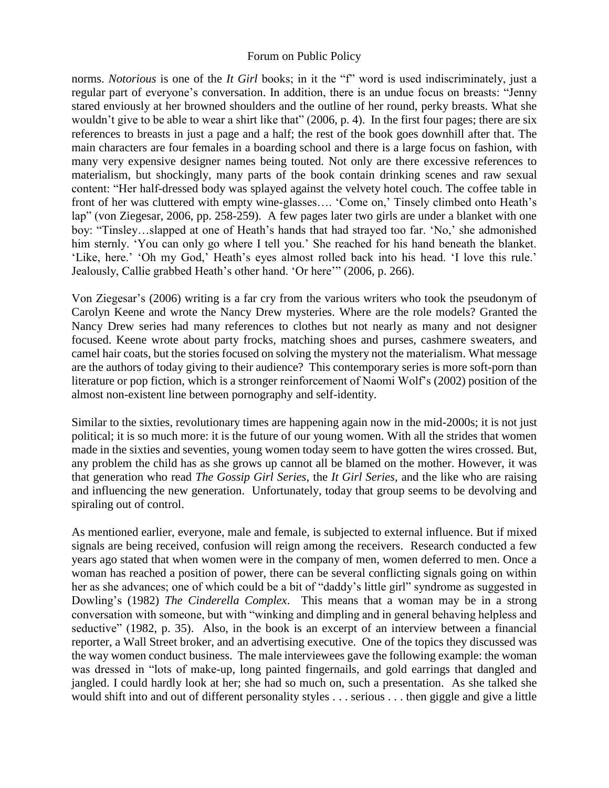norms. *Notorious* is one of the *It Girl* books; in it the "f" word is used indiscriminately, just a regular part of everyone's conversation. In addition, there is an undue focus on breasts: "Jenny stared enviously at her browned shoulders and the outline of her round, perky breasts. What she wouldn't give to be able to wear a shirt like that" (2006, p. 4). In the first four pages; there are six references to breasts in just a page and a half; the rest of the book goes downhill after that. The main characters are four females in a boarding school and there is a large focus on fashion, with many very expensive designer names being touted. Not only are there excessive references to materialism, but shockingly, many parts of the book contain drinking scenes and raw sexual content: "Her half-dressed body was splayed against the velvety hotel couch. The coffee table in front of her was cluttered with empty wine-glasses…. 'Come on,' Tinsely climbed onto Heath's lap" (von Ziegesar, 2006, pp. 258-259). A few pages later two girls are under a blanket with one boy: "Tinsley…slapped at one of Heath's hands that had strayed too far. 'No,' she admonished him sternly. 'You can only go where I tell you.' She reached for his hand beneath the blanket. 'Like, here.' 'Oh my God,' Heath's eyes almost rolled back into his head. 'I love this rule.' Jealously, Callie grabbed Heath's other hand. 'Or here'" (2006, p. 266).

Von Ziegesar's (2006) writing is a far cry from the various writers who took the pseudonym of Carolyn Keene and wrote the Nancy Drew mysteries. Where are the role models? Granted the Nancy Drew series had many references to clothes but not nearly as many and not designer focused. Keene wrote about party frocks, matching shoes and purses, cashmere sweaters, and camel hair coats, but the stories focused on solving the mystery not the materialism. What message are the authors of today giving to their audience? This contemporary series is more soft-porn than literature or pop fiction, which is a stronger reinforcement of Naomi Wolf's (2002) position of the almost non-existent line between pornography and self-identity.

Similar to the sixties, revolutionary times are happening again now in the mid-2000s; it is not just political; it is so much more: it is the future of our young women. With all the strides that women made in the sixties and seventies, young women today seem to have gotten the wires crossed. But, any problem the child has as she grows up cannot all be blamed on the mother. However, it was that generation who read *The Gossip Girl Series*, the *It Girl Series*, and the like who are raising and influencing the new generation. Unfortunately, today that group seems to be devolving and spiraling out of control.

As mentioned earlier, everyone, male and female, is subjected to external influence. But if mixed signals are being received, confusion will reign among the receivers. Research conducted a few years ago stated that when women were in the company of men, women deferred to men. Once a woman has reached a position of power, there can be several conflicting signals going on within her as she advances; one of which could be a bit of "daddy's little girl" syndrome as suggested in Dowling's (1982) *The Cinderella Complex*. This means that a woman may be in a strong conversation with someone, but with "winking and dimpling and in general behaving helpless and seductive" (1982, p. 35). Also, in the book is an excerpt of an interview between a financial reporter, a Wall Street broker, and an advertising executive. One of the topics they discussed was the way women conduct business. The male interviewees gave the following example: the woman was dressed in "lots of make-up, long painted fingernails, and gold earrings that dangled and jangled. I could hardly look at her; she had so much on, such a presentation. As she talked she would shift into and out of different personality styles . . . serious . . . then giggle and give a little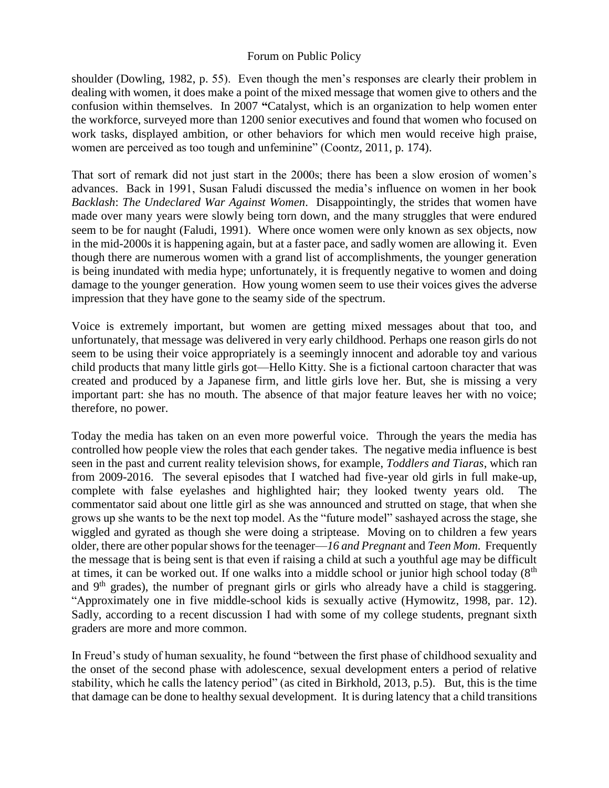shoulder (Dowling, 1982, p. 55). Even though the men's responses are clearly their problem in dealing with women, it does make a point of the mixed message that women give to others and the confusion within themselves. In 2007 **"**Catalyst, which is an organization to help women enter the workforce, surveyed more than 1200 senior executives and found that women who focused on work tasks, displayed ambition, or other behaviors for which men would receive high praise, women are perceived as too tough and unfeminine" (Coontz, 2011, p. 174).

That sort of remark did not just start in the 2000s; there has been a slow erosion of women's advances. Back in 1991, Susan Faludi discussed the media's influence on women in her book *Backlash*: *The Undeclared War Against Women*. Disappointingly, the strides that women have made over many years were slowly being torn down, and the many struggles that were endured seem to be for naught (Faludi, 1991). Where once women were only known as sex objects, now in the mid-2000s it is happening again, but at a faster pace, and sadly women are allowing it. Even though there are numerous women with a grand list of accomplishments, the younger generation is being inundated with media hype; unfortunately, it is frequently negative to women and doing damage to the younger generation. How young women seem to use their voices gives the adverse impression that they have gone to the seamy side of the spectrum.

Voice is extremely important, but women are getting mixed messages about that too, and unfortunately, that message was delivered in very early childhood. Perhaps one reason girls do not seem to be using their voice appropriately is a seemingly innocent and adorable toy and various child products that many little girls got—Hello Kitty. She is a fictional cartoon character that was created and produced by a Japanese firm, and little girls love her. But, she is missing a very important part: she has no mouth. The absence of that major feature leaves her with no voice; therefore, no power.

Today the media has taken on an even more powerful voice. Through the years the media has controlled how people view the roles that each gender takes. The negative media influence is best seen in the past and current reality television shows, for example, *Toddlers and Tiaras*, which ran from 2009-2016. The several episodes that I watched had five-year old girls in full make-up, complete with false eyelashes and highlighted hair; they looked twenty years old. The commentator said about one little girl as she was announced and strutted on stage, that when she grows up she wants to be the next top model. As the "future model" sashayed across the stage, she wiggled and gyrated as though she were doing a striptease. Moving on to children a few years older, there are other popular shows for the teenager—*16 and Pregnant* and *Teen Mom*. Frequently the message that is being sent is that even if raising a child at such a youthful age may be difficult at times, it can be worked out. If one walks into a middle school or junior high school today (8<sup>th</sup>) and  $9<sup>th</sup>$  grades), the number of pregnant girls or girls who already have a child is staggering. "Approximately one in five middle-school kids is sexually active (Hymowitz, 1998, par. 12). Sadly, according to a recent discussion I had with some of my college students, pregnant sixth graders are more and more common.

In Freud's study of human sexuality, he found "between the first phase of childhood sexuality and the onset of the second phase with adolescence, sexual development enters a period of relative stability, which he calls the latency period" (as cited in Birkhold, 2013, p.5). But, this is the time that damage can be done to healthy sexual development. It is during latency that a child transitions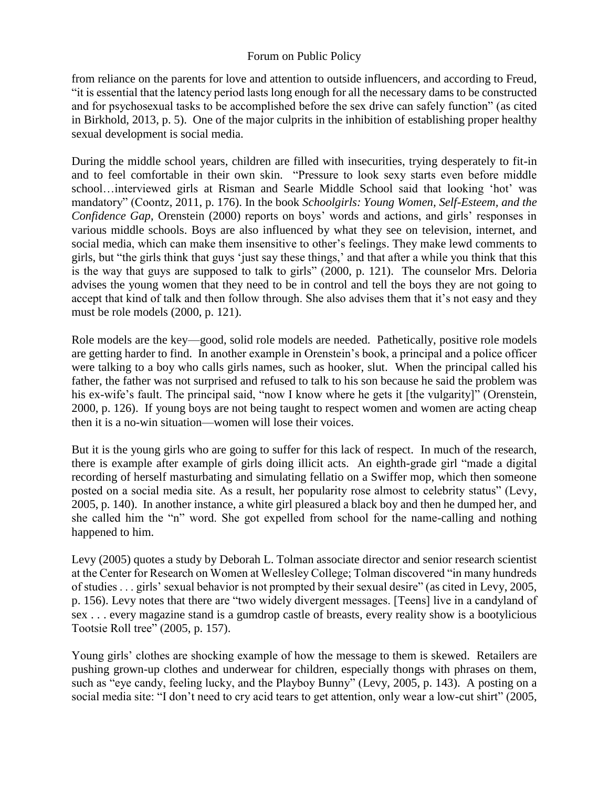from reliance on the parents for love and attention to outside influencers, and according to Freud, "it is essential that the latency period lasts long enough for all the necessary dams to be constructed and for psychosexual tasks to be accomplished before the sex drive can safely function" (as cited in Birkhold, 2013, p. 5). One of the major culprits in the inhibition of establishing proper healthy sexual development is social media.

During the middle school years, children are filled with insecurities, trying desperately to fit-in and to feel comfortable in their own skin. "Pressure to look sexy starts even before middle school…interviewed girls at Risman and Searle Middle School said that looking 'hot' was mandatory" (Coontz, 2011, p. 176). In the book *Schoolgirls: Young Women, Self-Esteem, and the Confidence Gap*, Orenstein (2000) reports on boys' words and actions, and girls' responses in various middle schools. Boys are also influenced by what they see on television, internet, and social media, which can make them insensitive to other's feelings. They make lewd comments to girls, but "the girls think that guys 'just say these things,' and that after a while you think that this is the way that guys are supposed to talk to girls" (2000, p. 121). The counselor Mrs. Deloria advises the young women that they need to be in control and tell the boys they are not going to accept that kind of talk and then follow through. She also advises them that it's not easy and they must be role models (2000, p. 121).

Role models are the key—good, solid role models are needed. Pathetically, positive role models are getting harder to find. In another example in Orenstein's book, a principal and a police officer were talking to a boy who calls girls names, such as hooker, slut. When the principal called his father, the father was not surprised and refused to talk to his son because he said the problem was his ex-wife's fault. The principal said, "now I know where he gets it [the vulgarity]" (Orenstein, 2000, p. 126). If young boys are not being taught to respect women and women are acting cheap then it is a no-win situation—women will lose their voices.

But it is the young girls who are going to suffer for this lack of respect. In much of the research, there is example after example of girls doing illicit acts. An eighth-grade girl "made a digital recording of herself masturbating and simulating fellatio on a Swiffer mop, which then someone posted on a social media site. As a result, her popularity rose almost to celebrity status" (Levy, 2005, p. 140). In another instance, a white girl pleasured a black boy and then he dumped her, and she called him the "n" word. She got expelled from school for the name-calling and nothing happened to him.

Levy (2005) quotes a study by Deborah L. Tolman associate director and senior research scientist at the Center for Research on Women at Wellesley College; Tolman discovered "in many hundreds of studies . . . girls' sexual behavior is not prompted by their sexual desire" (as cited in Levy, 2005, p. 156). Levy notes that there are "two widely divergent messages. [Teens] live in a candyland of sex . . . every magazine stand is a gumdrop castle of breasts, every reality show is a bootylicious Tootsie Roll tree" (2005, p. 157).

Young girls' clothes are shocking example of how the message to them is skewed. Retailers are pushing grown-up clothes and underwear for children, especially thongs with phrases on them, such as "eye candy, feeling lucky, and the Playboy Bunny" (Levy, 2005, p. 143). A posting on a social media site: "I don't need to cry acid tears to get attention, only wear a low-cut shirt" (2005,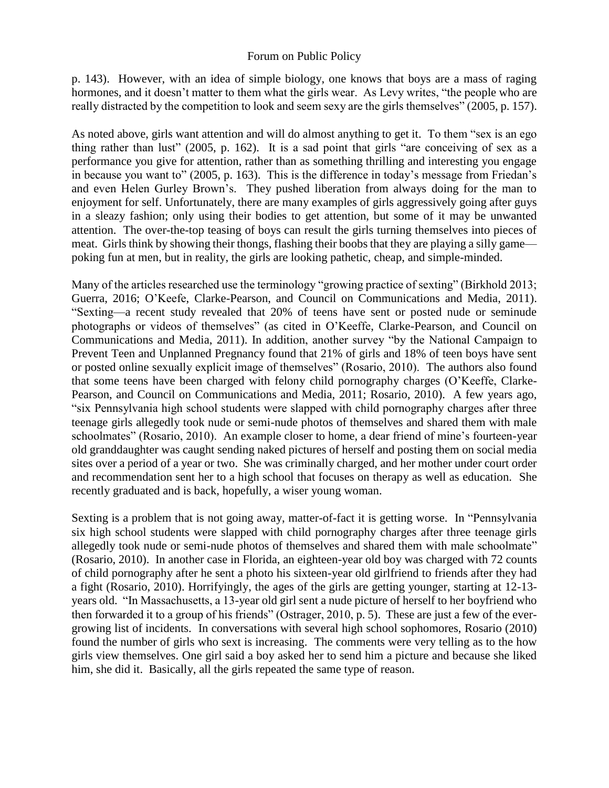p. 143). However, with an idea of simple biology, one knows that boys are a mass of raging hormones, and it doesn't matter to them what the girls wear. As Levy writes, "the people who are really distracted by the competition to look and seem sexy are the girls themselves" (2005, p. 157).

As noted above, girls want attention and will do almost anything to get it. To them "sex is an ego thing rather than lust" (2005, p. 162). It is a sad point that girls "are conceiving of sex as a performance you give for attention, rather than as something thrilling and interesting you engage in because you want to" (2005, p. 163). This is the difference in today's message from Friedan's and even Helen Gurley Brown's. They pushed liberation from always doing for the man to enjoyment for self. Unfortunately, there are many examples of girls aggressively going after guys in a sleazy fashion; only using their bodies to get attention, but some of it may be unwanted attention. The over-the-top teasing of boys can result the girls turning themselves into pieces of meat. Girls think by showing their thongs, flashing their boobs that they are playing a silly game poking fun at men, but in reality, the girls are looking pathetic, cheap, and simple-minded.

Many of the articles researched use the terminology "growing practice of sexting" (Birkhold 2013; Guerra, 2016; O'Keefe, Clarke-Pearson, and Council on Communications and Media, 2011). "Sexting—a recent study revealed that 20% of teens have sent or posted nude or seminude photographs or videos of themselves" (as cited in O'Keeffe, Clarke-Pearson, and Council on Communications and Media, 2011). In addition, another survey "by the National Campaign to Prevent Teen and Unplanned Pregnancy found that 21% of girls and 18% of teen boys have sent or posted online sexually explicit image of themselves" (Rosario, 2010). The authors also found that some teens have been charged with felony child pornography charges (O'Keeffe, Clarke-Pearson, and Council on Communications and Media, 2011; Rosario, 2010). A few years ago, "six Pennsylvania high school students were slapped with child pornography charges after three teenage girls allegedly took nude or semi-nude photos of themselves and shared them with male schoolmates" (Rosario, 2010). An example closer to home, a dear friend of mine's fourteen-year old granddaughter was caught sending naked pictures of herself and posting them on social media sites over a period of a year or two. She was criminally charged, and her mother under court order and recommendation sent her to a high school that focuses on therapy as well as education. She recently graduated and is back, hopefully, a wiser young woman.

Sexting is a problem that is not going away, matter-of-fact it is getting worse. In "Pennsylvania six high school students were slapped with child pornography charges after three teenage girls allegedly took nude or semi-nude photos of themselves and shared them with male schoolmate" (Rosario, 2010). In another case in Florida, an eighteen-year old boy was charged with 72 counts of child pornography after he sent a photo his sixteen-year old girlfriend to friends after they had a fight (Rosario, 2010). Horrifyingly, the ages of the girls are getting younger, starting at 12-13 years old. "In Massachusetts, a 13-year old girl sent a nude picture of herself to her boyfriend who then forwarded it to a group of his friends" (Ostrager, 2010, p. 5). These are just a few of the evergrowing list of incidents. In conversations with several high school sophomores, Rosario (2010) found the number of girls who sext is increasing. The comments were very telling as to the how girls view themselves. One girl said a boy asked her to send him a picture and because she liked him, she did it. Basically, all the girls repeated the same type of reason.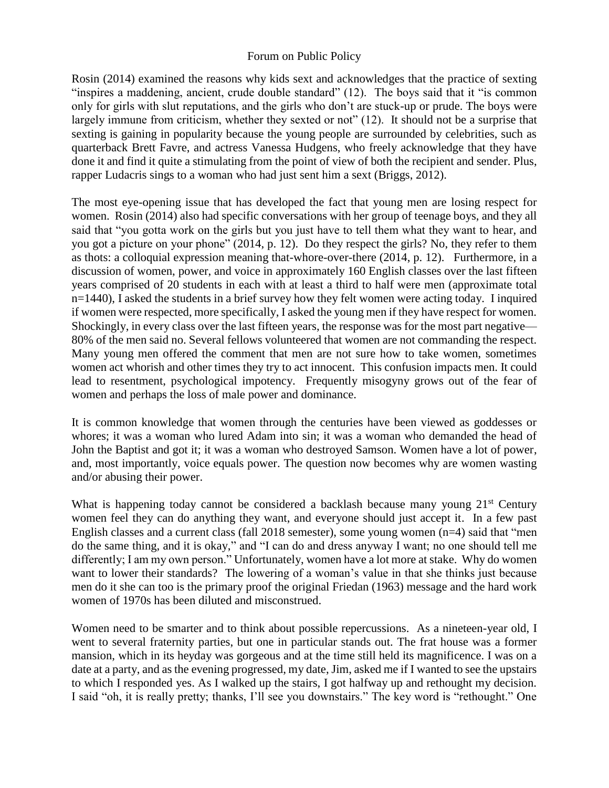Rosin (2014) examined the reasons why kids sext and acknowledges that the practice of sexting "inspires a maddening, ancient, crude double standard" (12). The boys said that it "is common only for girls with slut reputations, and the girls who don't are stuck-up or prude. The boys were largely immune from criticism, whether they sexted or not" (12). It should not be a surprise that sexting is gaining in popularity because the young people are surrounded by celebrities, such as quarterback Brett Favre, and actress Vanessa Hudgens, who freely acknowledge that they have done it and find it quite a stimulating from the point of view of both the recipient and sender. Plus, rapper Ludacris sings to a woman who had just sent him a sext (Briggs, 2012).

The most eye-opening issue that has developed the fact that young men are losing respect for women. Rosin (2014) also had specific conversations with her group of teenage boys, and they all said that "you gotta work on the girls but you just have to tell them what they want to hear, and you got a picture on your phone" (2014, p. 12). Do they respect the girls? No, they refer to them as thots: a colloquial expression meaning that-whore-over-there (2014, p. 12). Furthermore, in a discussion of women, power, and voice in approximately 160 English classes over the last fifteen years comprised of 20 students in each with at least a third to half were men (approximate total n=1440), I asked the students in a brief survey how they felt women were acting today. I inquired if women were respected, more specifically, I asked the young men if they have respect for women. Shockingly, in every class over the last fifteen years, the response was for the most part negative— 80% of the men said no. Several fellows volunteered that women are not commanding the respect. Many young men offered the comment that men are not sure how to take women, sometimes women act whorish and other times they try to act innocent. This confusion impacts men. It could lead to resentment, psychological impotency. Frequently misogyny grows out of the fear of women and perhaps the loss of male power and dominance.

It is common knowledge that women through the centuries have been viewed as goddesses or whores; it was a woman who lured Adam into sin; it was a woman who demanded the head of John the Baptist and got it; it was a woman who destroyed Samson. Women have a lot of power, and, most importantly, voice equals power. The question now becomes why are women wasting and/or abusing their power.

What is happening today cannot be considered a backlash because many young  $21<sup>st</sup>$  Century women feel they can do anything they want, and everyone should just accept it. In a few past English classes and a current class (fall 2018 semester), some young women (n=4) said that "men do the same thing, and it is okay," and "I can do and dress anyway I want; no one should tell me differently; I am my own person." Unfortunately, women have a lot more at stake. Why do women want to lower their standards? The lowering of a woman's value in that she thinks just because men do it she can too is the primary proof the original Friedan (1963) message and the hard work women of 1970s has been diluted and misconstrued.

Women need to be smarter and to think about possible repercussions. As a nineteen-year old, I went to several fraternity parties, but one in particular stands out. The frat house was a former mansion, which in its heyday was gorgeous and at the time still held its magnificence. I was on a date at a party, and as the evening progressed, my date, Jim, asked me if I wanted to see the upstairs to which I responded yes. As I walked up the stairs, I got halfway up and rethought my decision. I said "oh, it is really pretty; thanks, I'll see you downstairs." The key word is "rethought." One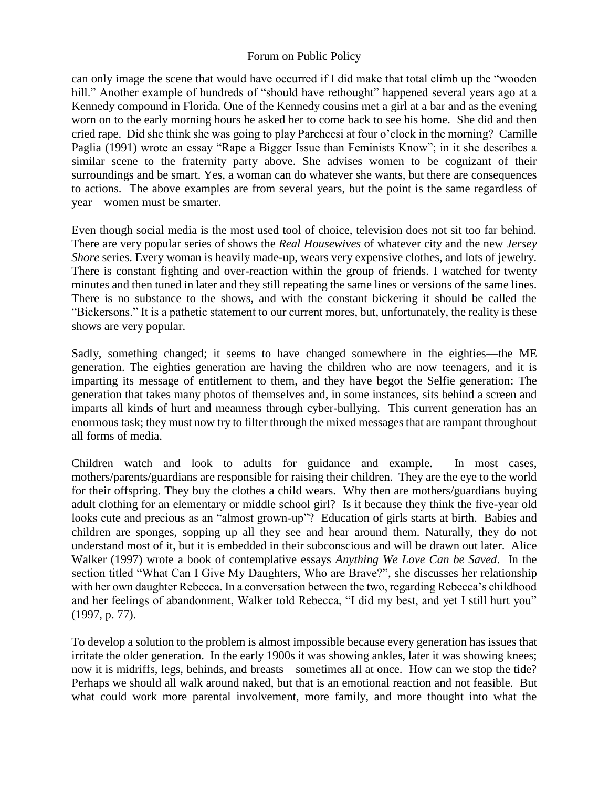can only image the scene that would have occurred if I did make that total climb up the "wooden hill." Another example of hundreds of "should have rethought" happened several years ago at a Kennedy compound in Florida. One of the Kennedy cousins met a girl at a bar and as the evening worn on to the early morning hours he asked her to come back to see his home. She did and then cried rape. Did she think she was going to play Parcheesi at four o'clock in the morning? Camille Paglia (1991) wrote an essay "Rape a Bigger Issue than Feminists Know"; in it she describes a similar scene to the fraternity party above. She advises women to be cognizant of their surroundings and be smart. Yes, a woman can do whatever she wants, but there are consequences to actions. The above examples are from several years, but the point is the same regardless of year—women must be smarter.

Even though social media is the most used tool of choice, television does not sit too far behind. There are very popular series of shows the *Real Housewives* of whatever city and the new *Jersey Shore* series. Every woman is heavily made-up, wears very expensive clothes, and lots of jewelry. There is constant fighting and over-reaction within the group of friends. I watched for twenty minutes and then tuned in later and they still repeating the same lines or versions of the same lines. There is no substance to the shows, and with the constant bickering it should be called the "Bickersons." It is a pathetic statement to our current mores, but, unfortunately, the reality is these shows are very popular.

Sadly, something changed; it seems to have changed somewhere in the eighties—the ME generation. The eighties generation are having the children who are now teenagers, and it is imparting its message of entitlement to them, and they have begot the Selfie generation: The generation that takes many photos of themselves and, in some instances, sits behind a screen and imparts all kinds of hurt and meanness through cyber-bullying. This current generation has an enormous task; they must now try to filter through the mixed messages that are rampant throughout all forms of media.

Children watch and look to adults for guidance and example. In most cases, mothers/parents/guardians are responsible for raising their children. They are the eye to the world for their offspring. They buy the clothes a child wears. Why then are mothers/guardians buying adult clothing for an elementary or middle school girl? Is it because they think the five-year old looks cute and precious as an "almost grown-up"? Education of girls starts at birth. Babies and children are sponges, sopping up all they see and hear around them. Naturally, they do not understand most of it, but it is embedded in their subconscious and will be drawn out later. Alice Walker (1997) wrote a book of contemplative essays *Anything We Love Can be Saved*. In the section titled "What Can I Give My Daughters, Who are Brave?", she discusses her relationship with her own daughter Rebecca. In a conversation between the two, regarding Rebecca's childhood and her feelings of abandonment, Walker told Rebecca, "I did my best, and yet I still hurt you" (1997, p. 77).

To develop a solution to the problem is almost impossible because every generation has issues that irritate the older generation. In the early 1900s it was showing ankles, later it was showing knees; now it is midriffs, legs, behinds, and breasts—sometimes all at once. How can we stop the tide? Perhaps we should all walk around naked, but that is an emotional reaction and not feasible. But what could work more parental involvement, more family, and more thought into what the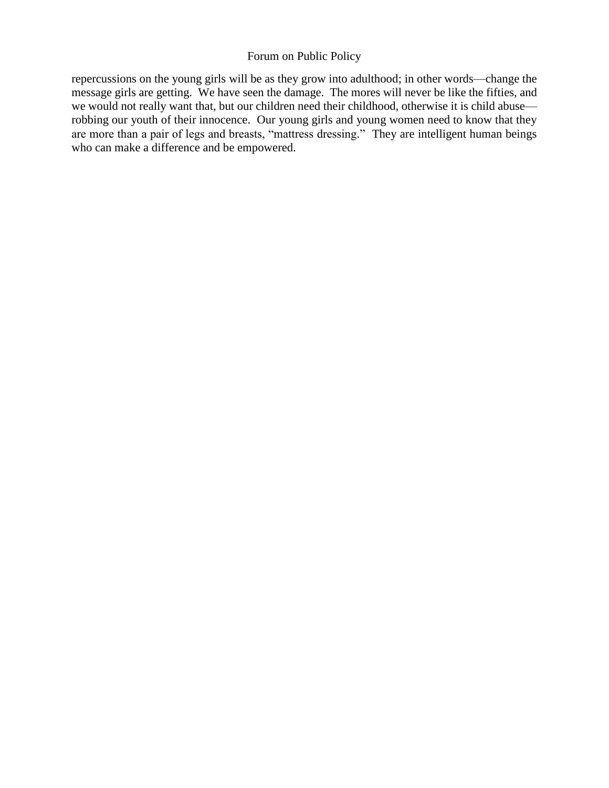repercussions on the young girls will be as they grow into adulthood; in other words—change the message girls are getting. We have seen the damage. The mores will never be like the fifties, and we would not really want that, but our children need their childhood, otherwise it is child abuse robbing our youth of their innocence. Our young girls and young women need to know that they are more than a pair of legs and breasts, "mattress dressing." They are intelligent human beings who can make a difference and be empowered.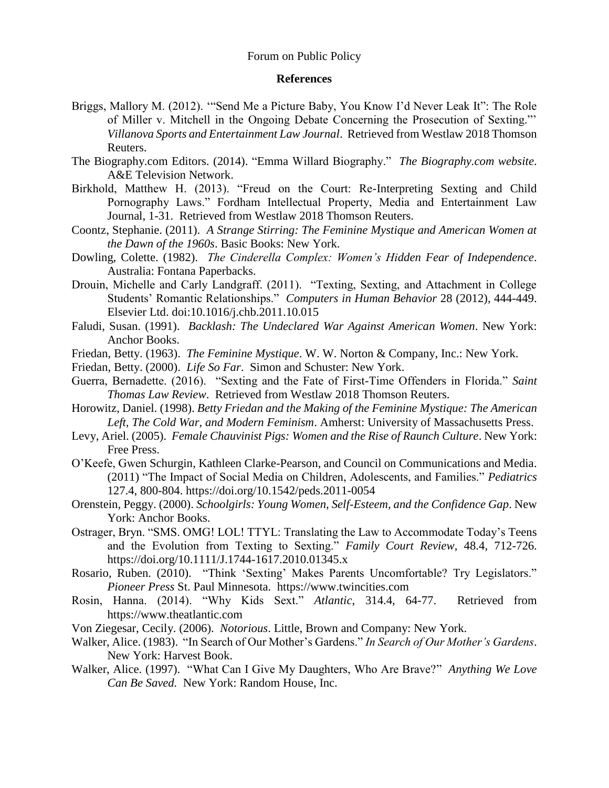#### **References**

- Briggs, Mallory M. (2012). '"Send Me a Picture Baby, You Know I'd Never Leak It": The Role of Miller v. Mitchell in the Ongoing Debate Concerning the Prosecution of Sexting."' *Villanova Sports and Entertainment Law Journal*. Retrieved from Westlaw 2018 Thomson Reuters.
- The Biography.com Editors. (2014). "Emma Willard Biography." *The Biography.com website*. A&E Television Network.
- Birkhold, Matthew H. (2013). "Freud on the Court: Re-Interpreting Sexting and Child Pornography Laws." Fordham Intellectual Property, Media and Entertainment Law Journal, 1-31. Retrieved from Westlaw 2018 Thomson Reuters.
- Coontz, Stephanie. (2011). *A Strange Stirring: The Feminine Mystique and American Women at the Dawn of the 1960s*. Basic Books: New York.
- Dowling, Colette. (1982). *The Cinderella Complex: Women's Hidden Fear of Independence*. Australia: Fontana Paperbacks.
- Drouin, Michelle and Carly Landgraff. (2011). "Texting, Sexting, and Attachment in College Students' Romantic Relationships." *Computers in Human Behavior* 28 (2012), 444-449. Elsevier Ltd. doi:10.1016/j.chb.2011.10.015
- Faludi, Susan. (1991). *Backlash: The Undeclared War Against American Women*. New York: Anchor Books.
- Friedan, Betty. (1963). *The Feminine Mystique*. W. W. Norton & Company, Inc.: New York.
- Friedan, Betty. (2000). *Life So Far*. Simon and Schuster: New York.
- Guerra, Bernadette. (2016). "Sexting and the Fate of First-Time Offenders in Florida." *Saint Thomas Law Review*. Retrieved from Westlaw 2018 Thomson Reuters.
- Horowitz, Daniel. (1998). *Betty Friedan and the Making of the Feminine Mystique: The American Left, The Cold War, and Modern Feminism*. Amherst: University of Massachusetts Press.
- Levy, Ariel. (2005). *Female Chauvinist Pigs: Women and the Rise of Raunch Culture*. New York: Free Press.
- O'Keefe, Gwen Schurgin, Kathleen Clarke-Pearson, and Council on Communications and Media. (2011) "The Impact of Social Media on Children, Adolescents, and Families." *Pediatrics* 127.4, 800-804. https://doi.org/10.1542/peds.2011-0054
- Orenstein, Peggy. (2000). *Schoolgirls: Young Women, Self-Esteem, and the Confidence Gap*. New York: Anchor Books.
- Ostrager, Bryn. "SMS. OMG! LOL! TTYL: Translating the Law to Accommodate Today's Teens and the Evolution from Texting to Sexting." *Family Court Review*, 48.4, 712-726. https://doi.org/10.1111/J.1744-1617.2010.01345.x
- Rosario, Ruben. (2010). "Think 'Sexting' Makes Parents Uncomfortable? Try Legislators." *Pioneer Press* St. Paul Minnesota. https://www.twincities.com
- Rosin, Hanna. (2014). "Why Kids Sext." *Atlantic*, 314.4, 64-77. Retrieved from https://www.theatlantic.com
- Von Ziegesar, Cecily. (2006). *Notorious*. Little, Brown and Company: New York.
- Walker, Alice. (1983). "In Search of Our Mother's Gardens." *In Search of Our Mother's Gardens*. New York: Harvest Book.
- Walker, Alice. (1997). "What Can I Give My Daughters, Who Are Brave?" *Anything We Love Can Be Saved.* New York: Random House, Inc.